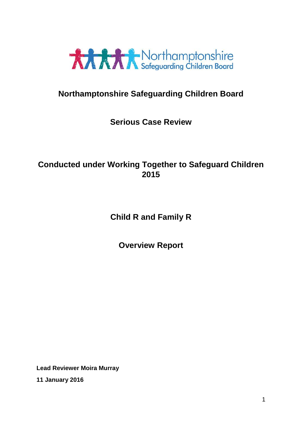

# **Northamptonshire Safeguarding Children Board**

# **Serious Case Review**

# **Conducted under Working Together to Safeguard Children 2015**

# **Child R and Family R**

**Overview Report**

**Lead Reviewer Moira Murray 11 January 2016**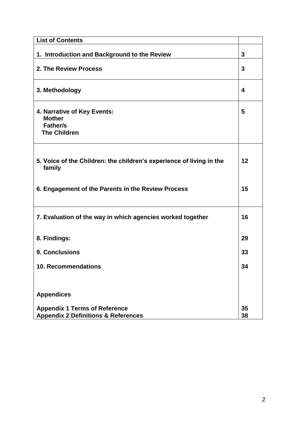| <b>List of Contents</b>                                                                |          |
|----------------------------------------------------------------------------------------|----------|
| 1. Introduction and Background to the Review                                           | 3        |
| 2. The Review Process                                                                  |          |
| 3. Methodology                                                                         | 4        |
| 4. Narrative of Key Events:<br><b>Mother</b><br><b>Father/s</b><br><b>The Children</b> | 5        |
| 5. Voice of the Children: the children's experience of living in the<br>family         | 12       |
| 6. Engagement of the Parents in the Review Process                                     | 15       |
| 7. Evaluation of the way in which agencies worked together                             | 16       |
| 8. Findings:                                                                           | 29       |
| 9. Conclusions                                                                         | 33       |
| <b>10. Recommendations</b>                                                             | 34       |
|                                                                                        |          |
| <b>Appendices</b>                                                                      |          |
| <b>Appendix 1 Terms of Reference</b><br><b>Appendix 2 Definitions &amp; References</b> | 35<br>38 |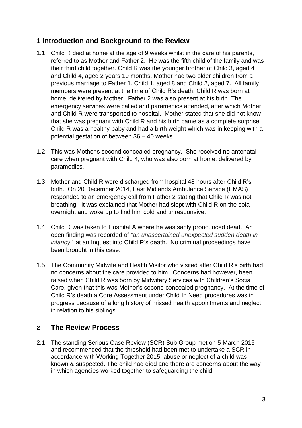# **1 Introduction and Background to the Review**

- 1.1 Child R died at home at the age of 9 weeks whilst in the care of his parents, referred to as Mother and Father 2. He was the fifth child of the family and was their third child together. Child R was the younger brother of Child 3, aged 4 and Child 4, aged 2 years 10 months. Mother had two older children from a previous marriage to Father 1, Child 1, aged 8 and Child 2, aged 7. All family members were present at the time of Child R's death. Child R was born at home, delivered by Mother. Father 2 was also present at his birth. The emergency services were called and paramedics attended, after which Mother and Child R were transported to hospital. Mother stated that she did not know that she was pregnant with Child R and his birth came as a complete surprise. Child R was a healthy baby and had a birth weight which was in keeping with a potential gestation of between 36 – 40 weeks.
- 1.2 This was Mother's second concealed pregnancy. She received no antenatal care when pregnant with Child 4, who was also born at home, delivered by paramedics.
- overnight and woke up to find him cold and unresponsive. 1.3 Mother and Child R were discharged from hospital 48 hours after Child R's birth. On 20 December 2014, East Midlands Ambulance Service (EMAS) responded to an emergency call from Father 2 stating that Child R was not breathing. It was explained that Mother had slept with Child R on the sofa
- 1.4 Child R was taken to Hospital A where he was sadly pronounced dead. An open finding was recorded of "*an unascertained unexpected sudden death in infancy",* at an Inquest into Child R's death. No criminal proceedings have been brought in this case.
- 1.5 The Community Midwife and Health Visitor who visited after Child R's birth had no concerns about the care provided to him. Concerns had however, been raised when Child R was born by Midwifery Services with Children's Social Care, given that this was Mother's second concealed pregnancy. At the time of Child R's death a Core Assessment under Child In Need procedures was in progress because of a long history of missed health appointments and neglect in relation to his siblings.

## **2 The Review Process**

2.1 The standing Serious Case Review (SCR) Sub Group met on 5 March 2015 and recommended that the threshold had been met to undertake a SCR in accordance with Working Together 2015: abuse or neglect of a child was known & suspected. The child had died and there are concerns about the way in which agencies worked together to safeguarding the child.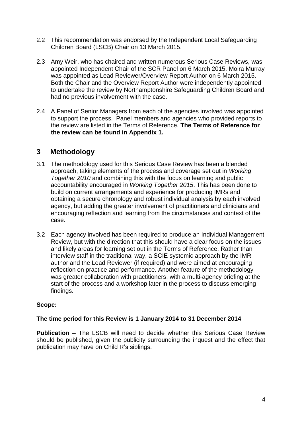- 2.2 This recommendation was endorsed by the Independent Local Safeguarding Children Board (LSCB) Chair on 13 March 2015.
- 2.3 Amy Weir, who has chaired and written numerous Serious Case Reviews, was appointed Independent Chair of the SCR Panel on 6 March 2015. Moira Murray was appointed as Lead Reviewer/Overview Report Author on 6 March 2015. Both the Chair and the Overview Report Author were independently appointed to undertake the review by Northamptonshire Safeguarding Children Board and had no previous involvement with the case.
- 2.4 A Panel of Senior Managers from each of the agencies involved was appointed to support the process. Panel members and agencies who provided reports to the review are listed in the Terms of Reference. **The Terms of Reference for the review can be found in Appendix 1.**

## **3 Methodology**

- encouraging reflection and learning from the circumstances and context of the 3.1 The methodology used for this Serious Case Review has been a blended approach, taking elements of the process and coverage set out in *Working Together 2010* and combining this with the focus on learning and public accountability encouraged in *Working Together 2015*. This has been done to build on current arrangements and experience for producing IMRs and obtaining a secure chronology and robust individual analysis by each involved agency, but adding the greater involvement of practitioners and clinicians and case.
- 3.2 Each agency involved has been required to produce an Individual Management Review, but with the direction that this should have a clear focus on the issues and likely areas for learning set out in the Terms of Reference. Rather than interview staff in the traditional way, a SCIE systemic approach by the IMR author and the Lead Reviewer (if required) and were aimed at encouraging reflection on practice and performance. Another feature of the methodology was greater collaboration with practitioners, with a multi-agency briefing at the start of the process and a workshop later in the process to discuss emerging findings.

## **Scope:**

## **The time period for this Review is 1 January 2014 to 31 December 2014**

**Publication –** The LSCB will need to decide whether this Serious Case Review should be published, given the publicity surrounding the inquest and the effect that publication may have on Child R's siblings.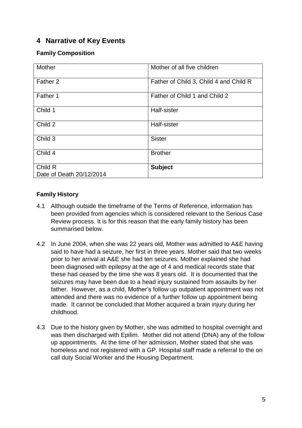# **4 Narrative of Key Events**

## **Family Composition**

| Mother                              | Mother of all five children            |
|-------------------------------------|----------------------------------------|
| Father 2                            | Father of Child 3, Child 4 and Child R |
| Father 1                            | Father of Child 1 and Child 2          |
| Child 1                             | Half-sister                            |
| Child 2                             | Half-sister                            |
| Child 3                             | <b>Sister</b>                          |
| Child 4                             | <b>Brother</b>                         |
| Child R<br>Date of Death 20/12/2014 | <b>Subject</b>                         |

## **Family History**

- been provided from agencies which is considered relevant to the Serious Case 4.1 Although outside the timeframe of the Terms of Reference, information has Review process. It is for this reason that the early family history has been summarised below.
- 4.2 In June 2004, when she was 22 years old, Mother was admitted to A&E having said to have had a seizure, her first in three years. Mother said that two weeks prior to her arrival at A&E she had ten seizures. Mother explained she had been diagnosed with epilepsy at the age of 4 and medical records state that these had ceased by the time she was 8 years old. It is documented that the seizures may have been due to a head injury sustained from assaults by her father. However, as a child, Mother's follow up outpatient appointment was not attended and there was no evidence of a further follow up appointment being made. It cannot be concluded that Mother acquired a brain injury during her childhood.
- 4.3 Due to the history given by Mother, she was admitted to hospital overnight and was then discharged with Epilim. Mother did not attend (DNA) any of the follow up appointments. At the time of her admission, Mother stated that she was homeless and not registered with a GP. Hospital staff made a referral to the on call duty Social Worker and the Housing Department.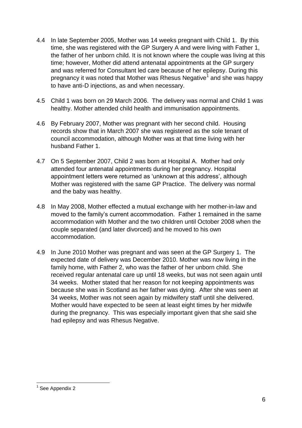- 4.4 In late September 2005, Mother was 14 weeks pregnant with Child 1. By this time, she was registered with the GP Surgery A and were living with Father 1, the father of her unborn child. It is not known where the couple was living at this time; however, Mother did attend antenatal appointments at the GP surgery and was referred for Consultant led care because of her epilepsy. During this pregnancy it was noted that Mother was Rhesus Negative<sup>1</sup> and she was happy to have anti-D injections, as and when necessary.
- 4.5 Child 1 was born on 29 March 2006. The delivery was normal and Child 1 was healthy. Mother attended child health and immunisation appointments.
- 4.6 By February 2007, Mother was pregnant with her second child. Housing records show that in March 2007 she was registered as the sole tenant of council accommodation, although Mother was at that time living with her husband Father 1.
- 4.7 On 5 September 2007, Child 2 was born at Hospital A. Mother had only attended four antenatal appointments during her pregnancy. Hospital appointment letters were returned as 'unknown at this address', although Mother was registered with the same GP Practice. The delivery was normal and the baby was healthy.
- moved to the family's current accommodation. Father 1 remained in the same 4.8 In May 2008, Mother effected a mutual exchange with her mother-in-law and accommodation with Mother and the two children until October 2008 when the couple separated (and later divorced) and he moved to his own accommodation.
- 4.9 In June 2010 Mother was pregnant and was seen at the GP Surgery 1. The expected date of delivery was December 2010. Mother was now living in the family home, with Father 2, who was the father of her unborn child. She received regular antenatal care up until 18 weeks, but was not seen again until 34 weeks. Mother stated that her reason for not keeping appointments was because she was in Scotland as her father was dying. After she was seen at 34 weeks, Mother was not seen again by midwifery staff until she delivered. Mother would have expected to be seen at least eight times by her midwife during the pregnancy. This was especially important given that she said she had epilepsy and was Rhesus Negative.

 1 See Appendix 2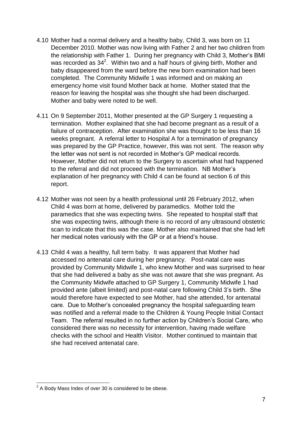- 4.10 Mother had a normal delivery and a healthy baby, Child 3, was born on 11 December 2010. Mother was now living with Father 2 and her two children from the relationship with Father 1. During her pregnancy with Child 3, Mother's BMI was recorded as  $34^2$ . Within two and a half hours of giving birth, Mother and baby disappeared from the ward before the new born examination had been completed. The Community Midwife 1 was informed and on making an emergency home visit found Mother back at home. Mother stated that the reason for leaving the hospital was she thought she had been discharged. Mother and baby were noted to be well.
- 4.11 On 9 September 2011, Mother presented at the GP Surgery 1 requesting a termination. Mother explained that she had become pregnant as a result of a failure of contraception. After examination she was thought to be less than 16 weeks pregnant. A referral letter to Hospital A for a termination of pregnancy was prepared by the GP Practice, however, this was not sent. The reason why the letter was not sent is not recorded in Mother's GP medical records. However, Mother did not return to the Surgery to ascertain what had happened to the referral and did not proceed with the termination. NB Mother's explanation of her pregnancy with Child 4 can be found at section 6 of this report.
- paramedics that she was expecting twins. She repeated to hospital staff that 4.12 Mother was not seen by a health professional until 26 February 2012, when Child 4 was born at home, delivered by paramedics. Mother told the she was expecting twins, although there is no record of any ultrasound obstetric scan to indicate that this was the case. Mother also maintained that she had left her medical notes variously with the GP or at a friend's house.
- 4.13 Child 4 was a healthy, full term baby. It was apparent that Mother had accessed no antenatal care during her pregnancy. Post-natal care was provided by Community Midwife 1, who knew Mother and was surprised to hear that she had delivered a baby as she was not aware that she was pregnant. As the Community Midwife attached to GP Surgery 1, Community Midwife 1 had provided ante (albeit limited) and post-natal care following Child 3's birth. She would therefore have expected to see Mother, had she attended, for antenatal care. Due to Mother's concealed pregnancy the hospital safeguarding team was notified and a referral made to the Children & Young People Initial Contact Team. The referral resulted in no further action by Children's Social Care, who considered there was no necessity for intervention, having made welfare checks with the school and Health Visitor. Mother continued to maintain that she had received antenatal care.

 2 A Body Mass Index of over 30 is considered to be obese.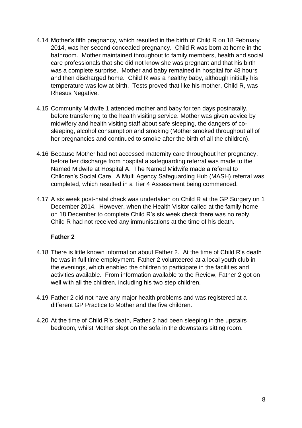- 4.14 Mother's fifth pregnancy, which resulted in the birth of Child R on 18 February 2014, was her second concealed pregnancy. Child R was born at home in the bathroom. Mother maintained throughout to family members, health and social care professionals that she did not know she was pregnant and that his birth was a complete surprise. Mother and baby remained in hospital for 48 hours and then discharged home. Child R was a healthy baby, although initially his temperature was low at birth. Tests proved that like his mother, Child R, was Rhesus Negative.
- 4.15 Community Midwife 1 attended mother and baby for ten days postnatally, before transferring to the health visiting service. Mother was given advice by midwifery and health visiting staff about safe sleeping, the dangers of cosleeping, alcohol consumption and smoking (Mother smoked throughout all of her pregnancies and continued to smoke after the birth of all the children).
- 4.16 Because Mother had not accessed maternity care throughout her pregnancy, before her discharge from hospital a safeguarding referral was made to the Named Midwife at Hospital A. The Named Midwife made a referral to Children's Social Care. A Multi Agency Safeguarding Hub (MASH) referral was completed, which resulted in a Tier 4 Assessment being commenced.
- on 18 December to complete Child R's six week check there was no reply. 4.17 A six week post-natal check was undertaken on Child R at the GP Surgery on 1 December 2014. However, when the Health Visitor called at the family home Child R had not received any immunisations at the time of his death.

## **Father 2**

- 4.18 There is little known information about Father 2. At the time of Child R's death he was in full time employment. Father 2 volunteered at a local youth club in the evenings, which enabled the children to participate in the facilities and activities available. From information available to the Review, Father 2 got on well with all the children, including his two step children.
- 4.19 Father 2 did not have any major health problems and was registered at a different GP Practice to Mother and the five children.
- 4.20 At the time of Child R's death, Father 2 had been sleeping in the upstairs bedroom, whilst Mother slept on the sofa in the downstairs sitting room.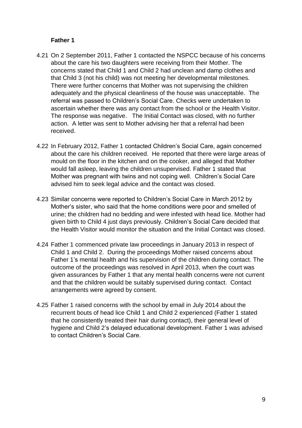### **Father 1**

- 4.21 On 2 September 2011, Father 1 contacted the NSPCC because of his concerns about the care his two daughters were receiving from their Mother. The concerns stated that Child 1 and Child 2 had unclean and damp clothes and that Child 3 (not his child) was not meeting her developmental milestones. There were further concerns that Mother was not supervising the children adequately and the physical cleanliness of the house was unacceptable. The referral was passed to Children's Social Care. Checks were undertaken to ascertain whether there was any contact from the school or the Health Visitor. The response was negative. The Initial Contact was closed, with no further action. A letter was sent to Mother advising her that a referral had been received.
- 4.22 In February 2012, Father 1 contacted Children's Social Care, again concerned about the care his children received. He reported that there were large areas of mould on the floor in the kitchen and on the cooker, and alleged that Mother would fall asleep, leaving the children unsupervised. Father 1 stated that Mother was pregnant with twins and not coping well. Children's Social Care advised him to seek legal advice and the contact was closed.
- urine; the children had no bedding and were infested with head lice. Mother had 4.23 Similar concerns were reported to Children's Social Care in March 2012 by Mother's sister, who said that the home conditions were poor and smelled of given birth to Child 4 just days previously. Children's Social Care decided that the Health Visitor would monitor the situation and the Initial Contact was closed.
- 4.24 Father 1 commenced private law proceedings in January 2013 in respect of Child 1 and Child 2. During the proceedings Mother raised concerns about Father 1's mental health and his supervision of the children during contact. The outcome of the proceedings was resolved in April 2013, when the court was given assurances by Father 1 that any mental health concerns were not current and that the children would be suitably supervised during contact. Contact arrangements were agreed by consent.
- 4.25 Father 1 raised concerns with the school by email in July 2014 about the recurrent bouts of head lice Child 1 and Child 2 experienced (Father 1 stated that he consistently treated their hair during contact), their general level of hygiene and Child 2's delayed educational development. Father 1 was advised to contact Children's Social Care.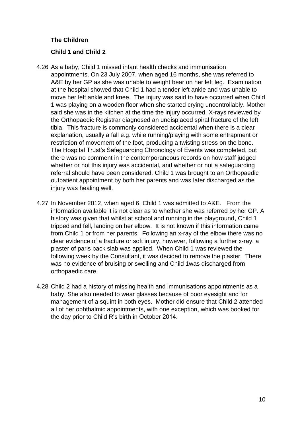## **The Children**

## **Child 1 and Child 2**

- 4.26 As a baby, Child 1 missed infant health checks and immunisation appointments. On 23 July 2007, when aged 16 months, she was referred to A&E by her GP as she was unable to weight bear on her left leg. Examination at the hospital showed that Child 1 had a tender left ankle and was unable to move her left ankle and knee. The injury was said to have occurred when Child 1 was playing on a wooden floor when she started crying uncontrollably. Mother said she was in the kitchen at the time the injury occurred. X-rays reviewed by the Orthopaedic Registrar diagnosed an undisplaced spiral fracture of the left tibia. This fracture is commonly considered accidental when there is a clear explanation, usually a fall e.g. while running/playing with some entrapment or restriction of movement of the foot, producing a twisting stress on the bone. The Hospital Trust's Safeguarding Chronology of Events was completed, but there was no comment in the contemporaneous records on how staff judged whether or not this injury was accidental, and whether or not a safeguarding referral should have been considered. Child 1 was brought to an Orthopaedic outpatient appointment by both her parents and was later discharged as the injury was healing well.
- 4.27 In November 2012, when aged 6, Child 1 was admitted to A&E. From the information available it is not clear as to whether she was referred by her GP. A history was given that whilst at school and running in the playground, Child 1 tripped and fell, landing on her elbow. It is not known if this information came from Child 1 or from her parents. Following an x-ray of the elbow there was no clear evidence of a fracture or soft injury, however, following a further x-ray, a plaster of paris back slab was applied. When Child 1 was reviewed the following week by the Consultant, it was decided to remove the plaster. There was no evidence of bruising or swelling and Child 1was discharged from orthopaedic care.
- 4.28 Child 2 had a history of missing health and immunisations appointments as a baby. She also needed to wear glasses because of poor eyesight and for management of a squint in both eyes. Mother did ensure that Child 2 attended all of her ophthalmic appointments, with one exception, which was booked for the day prior to Child R's birth in October 2014.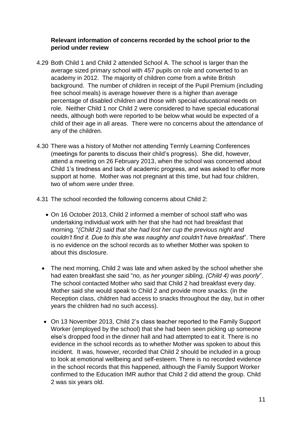### **Relevant information of concerns recorded by the school prior to the period under review**

- 4.29 Both Child 1 and Child 2 attended School A. The school is larger than the average sized primary school with 457 pupils on role and converted to an academy in 2012. The majority of children come from a white British background. The number of children in receipt of the Pupil Premium (including free school meals) is average however there is a higher than average percentage of disabled children and those with special educational needs on role. Neither Child 1 nor Child 2 were considered to have special educational needs, although both were reported to be below what would be expected of a child of their age in all areas. There were no concerns about the attendance of any of the children.
- 4.30 There was a history of Mother not attending Termly Learning Conferences (meetings for parents to discuss their child's progress). She did, however, attend a meeting on 26 February 2013, when the school was concerned about Child 1's tiredness and lack of academic progress, and was asked to offer more support at home. Mother was not pregnant at this time, but had four children, two of whom were under three.
- 4.31 The school recorded the following concerns about Child 2:
	- On 16 October 2013, Child 2 informed a member of school staff who was undertaking individual work with her that she had not had breakfast that morning. "*(Child 2) said that she had lost her cup the previous night and couldn't find it. Due to this she was naughty and couldn't have breakfast*". There is no evidence on the school records as to whether Mother was spoken to about this disclosure.
	- The next morning, Child 2 was late and when asked by the school whether she had eaten breakfast she said "*no, as her younger sibling, (Child 4) was poorly*". The school contacted Mother who said that Child 2 had breakfast every day. Mother said she would speak to Child 2 and provide more snacks. (In the Reception class, children had access to snacks throughout the day, but in other years the children had no such access).
	- On 13 November 2013, Child 2's class teacher reported to the Family Support Worker (employed by the school) that she had been seen picking up someone else's dropped food in the dinner hall and had attempted to eat it. There is no evidence in the school records as to whether Mother was spoken to about this incident. It was, however, recorded that Child 2 should be included in a group to look at emotional wellbeing and self-esteem. There is no recorded evidence in the school records that this happened, although the Family Support Worker confirmed to the Education IMR author that Child 2 did attend the group. Child 2 was six years old.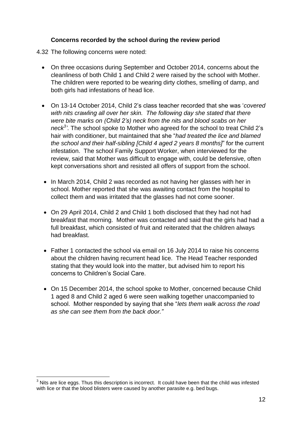#### **Concerns recorded by the school during the review period**

4.32 The following concerns were noted:

- On three occasions during September and October 2014, concerns about the cleanliness of both Child 1 and Child 2 were raised by the school with Mother. The children were reported to be wearing dirty clothes, smelling of damp, and both girls had infestations of head lice.
- On 13-14 October 2014, Child 2's class teacher recorded that she was '*covered with nits crawling all over her skin. The following day she stated that there were bite marks on (Child 2's) neck from the nits and blood scabs on her neck<sup>3</sup> '*. The school spoke to Mother who agreed for the school to treat Child 2's hair with conditioner, but maintained that she "*had treated the lice and blamed the school and their half-sibling [Child 4 aged 2 years 8 months]*" for the current infestation. The school Family Support Worker, when interviewed for the review, said that Mother was difficult to engage with, could be defensive, often kept conversations short and resisted all offers of support from the school.
- In March 2014, Child 2 was recorded as not having her glasses with her in school. Mother reported that she was awaiting contact from the hospital to collect them and was irritated that the glasses had not come sooner.
- On 29 April 2014, Child 2 and Child 1 both disclosed that they had not had breakfast that morning. Mother was contacted and said that the girls had had a full breakfast, which consisted of fruit and reiterated that the children always had breakfast.
- Father 1 contacted the school via email on 16 July 2014 to raise his concerns about the children having recurrent head lice. The Head Teacher responded stating that they would look into the matter, but advised him to report his concerns to Children's Social Care.
- On 15 December 2014, the school spoke to Mother, concerned because Child 1 aged 8 and Child 2 aged 6 were seen walking together unaccompanied to school. Mother responded by saying that she "*lets them walk across the road as she can see them from the back door."*

 $3$  Nits are lice eggs. Thus this description is incorrect. It could have been that the child was infested with lice or that the blood blisters were caused by another parasite e.g. bed bugs.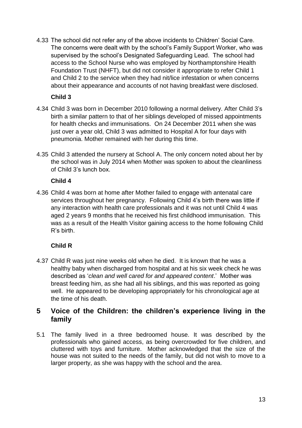4.33 The school did not refer any of the above incidents to Children' Social Care. The concerns were dealt with by the school's Family Support Worker, who was supervised by the school's Designated Safeguarding Lead. The school had access to the School Nurse who was employed by Northamptonshire Health Foundation Trust (NHFT), but did not consider it appropriate to refer Child 1 and Child 2 to the service when they had nit/lice infestation or when concerns about their appearance and accounts of not having breakfast were disclosed.

## **Child 3**

- 4.34 Child 3 was born in December 2010 following a normal delivery. After Child 3's birth a similar pattern to that of her siblings developed of missed appointments for health checks and immunisations. On 24 December 2011 when she was just over a year old. Child 3 was admitted to Hospital A for four days with pneumonia. Mother remained with her during this time.
- 4.35 Child 3 attended the nursery at School A. The only concern noted about her by the school was in July 2014 when Mother was spoken to about the cleanliness of Child 3's lunch box.

## **Child 4**

aged 2 years 9 months that he received his first childhood immunisation. This 4.36 Child 4 was born at home after Mother failed to engage with antenatal care services throughout her pregnancy. Following Child 4's birth there was little if any interaction with health care professionals and it was not until Child 4 was was as a result of the Health Visitor gaining access to the home following Child R's birth.

# **Child R**

4.37 Child R was just nine weeks old when he died. It is known that he was a healthy baby when discharged from hospital and at his six week check he was described as '*clean and well cared for and appeared content*.' Mother was breast feeding him, as she had all his siblings, and this was reported as going well. He appeared to be developing appropriately for his chronological age at the time of his death.

# **5 Voice of the Children: the children's experience living in the family**

5.1 The family lived in a three bedroomed house. It was described by the professionals who gained access, as being overcrowded for five children, and cluttered with toys and furniture. Mother acknowledged that the size of the house was not suited to the needs of the family, but did not wish to move to a larger property, as she was happy with the school and the area.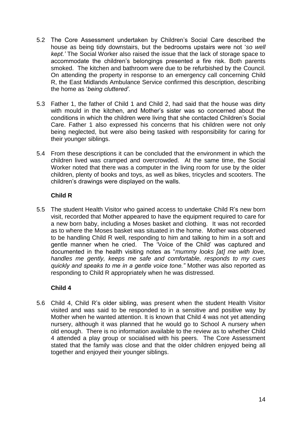- 5.2 The Core Assessment undertaken by Children's Social Care described the house as being tidy downstairs, but the bedrooms upstairs were not '*so well kept.'* The Social Worker also raised the issue that the lack of storage space to accommodate the children's belongings presented a fire risk. Both parents smoked. The kitchen and bathroom were due to be refurbished by the Council. On attending the property in response to an emergency call concerning Child R, the East Midlands Ambulance Service confirmed this description, describing the home as '*being cluttered'.*
- 5.3 Father 1, the father of Child 1 and Child 2, had said that the house was dirty with mould in the kitchen, and Mother's sister was so concerned about the conditions in which the children were living that she contacted Children's Social Care. Father 1 also expressed his concerns that his children were not only being neglected, but were also being tasked with responsibility for caring for their younger siblings.
- 5.4 From these descriptions it can be concluded that the environment in which the children lived was cramped and overcrowded. At the same time, the Social Worker noted that there was a computer in the living room for use by the older children, plenty of books and toys, as well as bikes, tricycles and scooters. The children's drawings were displayed on the walls.

## **Child R**

visit, recorded that Mother appeared to have the equipment required to care for 5.5 The student Health Visitor who gained access to undertake Child R's new born a new born baby, including a Moses basket and clothing. It was not recorded as to where the Moses basket was situated in the home. Mother was observed to be handling Child R well, responding to him and talking to him in a soft and gentle manner when he cried. The 'Voice of the Child' was captured and documented in the health visiting notes as "*mummy looks [at] me with love, handles me gently, keeps me safe and comfortable, responds to my cues quickly and speaks to me in a gentle voice tone."* Mother was also reported as responding to Child R appropriately when he was distressed.

## **Child 4**

5.6 Child 4, Child R's older sibling, was present when the student Health Visitor visited and was said to be responded to in a sensitive and positive way by Mother when he wanted attention. It is known that Child 4 was not yet attending nursery, although it was planned that he would go to School A nursery when old enough. There is no information available to the review as to whether Child 4 attended a play group or socialised with his peers. The Core Assessment stated that the family was close and that the older children enjoyed being all together and enjoyed their younger siblings.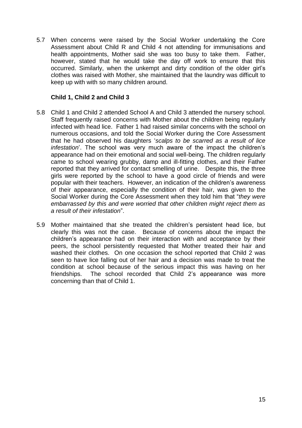5.7 When concerns were raised by the Social Worker undertaking the Core Assessment about Child R and Child 4 not attending for immunisations and health appointments, Mother said she was too busy to take them. Father, however, stated that he would take the day off work to ensure that this occurred. Similarly, when the unkempt and dirty condition of the older girl's clothes was raised with Mother, she maintained that the laundry was difficult to keep up with with so many children around.

## **Child 1, Child 2 and Child 3**

- 5.8 Child 1 and Child 2 attended School A and Child 3 attended the nursery school. Staff frequently raised concerns with Mother about the children being regularly infected with head lice. Father 1 had raised similar concerns with the school on numerous occasions, and told the Social Worker during the Core Assessment that he had observed his daughters '*scalps to be scarred as a result of lice infestation*'. The school was very much aware of the impact the children's appearance had on their emotional and social well-being. The children regularly came to school wearing grubby, damp and ill-fitting clothes, and their Father reported that they arrived for contact smelling of urine. Despite this, the three girls were reported by the school to have a good circle of friends and were popular with their teachers. However, an indication of the children's awareness of their appearance, especially the condition of their hair, was given to the Social Worker during the Core Assessment when they told him that "*they were embarrassed by this and were worried that other children might reject them as a result of their infestation*".
- 5.9 Mother maintained that she treated the children's persistent head lice, but clearly this was not the case. Because of concerns about the impact the children's appearance had on their interaction with and acceptance by their peers, the school persistently requested that Mother treated their hair and washed their clothes. On one occasion the school reported that Child 2 was seen to have lice falling out of her hair and a decision was made to treat the condition at school because of the serious impact this was having on her friendships. The school recorded that Child 2's appearance was more concerning than that of Child 1.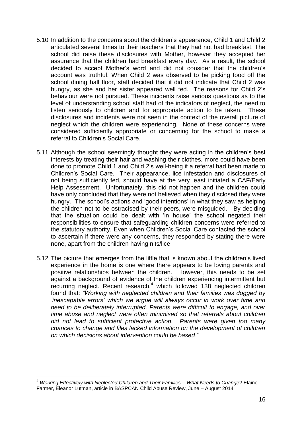- 5.10 In addition to the concerns about the children's appearance, Child 1 and Child 2 articulated several times to their teachers that they had not had breakfast. The school did raise these disclosures with Mother, however they accepted her assurance that the children had breakfast every day. As a result, the school decided to accept Mother's word and did not consider that the children's account was truthful. When Child 2 was observed to be picking food off the school dining hall floor, staff decided that it did not indicate that Child 2 was hungry, as she and her sister appeared well fed. The reasons for Child 2's behaviour were not pursued. These incidents raise serious questions as to the level of understanding school staff had of the indicators of neglect, the need to listen seriously to children and for appropriate action to be taken. These disclosures and incidents were not seen in the context of the overall picture of neglect which the children were experiencing. None of these concerns were considered sufficiently appropriate or concerning for the school to make a referral to Children's Social Care.
- that the situation could be dealt with 'in house' the school negated their 5.11 Although the school seemingly thought they were acting in the children's best interests by treating their hair and washing their clothes, more could have been done to promote Child 1 and Child 2's well-being if a referral had been made to Children's Social Care. Their appearance, lice infestation and disclosures of not being sufficiently fed, should have at the very least initiated a CAF/Early Help Assessment. Unfortunately, this did not happen and the children could have only concluded that they were not believed when they disclosed they were hungry. The school's actions and 'good intentions' in what they saw as helping the children not to be ostracised by their peers, were misguided. By deciding responsibilities to ensure that safeguarding children concerns were referred to the statutory authority. Even when Children's Social Care contacted the school to ascertain if there were any concerns, they responded by stating there were none, apart from the children having nits/lice.
- 5.12 The picture that emerges from the little that is known about the children's lived experience in the home is one where there appears to be loving parents and positive relationships between the children. However, this needs to be set against a background of evidence of the children experiencing intermittent but recurring neglect. Recent research, $4$  which followed 138 neglected children found that: *"Working with neglected children and their families was dogged by 'inescapable errors' which we argue will always occur in work over time and need to be deliberately interrupted. Parents were difficult to engage, and over time abuse and neglect were often minimised so that referrals about children did not lead to sufficient protective action. Parents were given too many chances to change and files lacked information on the development of children on which decisions about intervention could be based*."

<sup>4</sup> *Working Effectively with Neglected Children and Their Families – What Needs to Change?* Elaine Farmer, Eleanor Lutman, article in BASPCAN Child Abuse Review, June – August 2014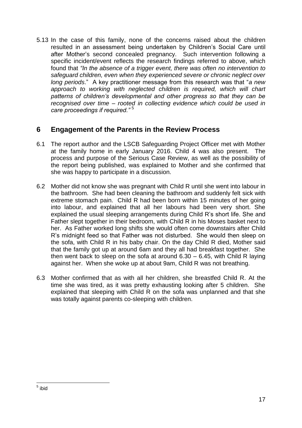5.13 In the case of this family, none of the concerns raised about the children resulted in an assessment being undertaken by Children's Social Care until after Mother's second concealed pregnancy. Such intervention following a specific incident/event reflects the research findings referred to above, which found that *"In the absence of a trigger event, there was often no intervention to safeguard children, even when they experienced severe or chronic neglect over long periods*." A key practitioner message from this research was that "*a new*  approach to working with neglected children is required, which will chart *patterns of children's developmental and other progress so that they can be recognised over time – rooted in collecting evidence which could be used in care proceedings if required."* <sup>5</sup>

## **6 Engagement of the Parents in the Review Process**

- 6.1 The report author and the LSCB Safeguarding Project Officer met with Mother at the family home in early January 2016. Child 4 was also present. The process and purpose of the Serious Case Review, as well as the possibility of the report being published, was explained to Mother and she confirmed that she was happy to participate in a discussion.
- explained the usual sleeping arrangements during Child R's short life. She and 6.2 Mother did not know she was pregnant with Child R until she went into labour in the bathroom. She had been cleaning the bathroom and suddenly felt sick with extreme stomach pain. Child R had been born within 15 minutes of her going into labour, and explained that all her labours had been very short. She Father slept together in their bedroom, with Child R in his Moses basket next to her. As Father worked long shifts she would often come downstairs after Child R's midnight feed so that Father was not disturbed. She would then sleep on the sofa, with Child R in his baby chair. On the day Child R died, Mother said that the family got up at around 6am and they all had breakfast together. She then went back to sleep on the sofa at around  $6.30 - 6.45$ , with Child R laying against her. When she woke up at about 9am, Child R was not breathing.
- 6.3 Mother confirmed that as with all her children, she breastfed Child R. At the time she was tired, as it was pretty exhausting looking after 5 children. She explained that sleeping with Child R on the sofa was unplanned and that she was totally against parents co-sleeping with children.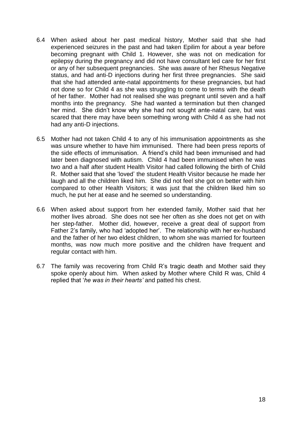- 6.4 When asked about her past medical history, Mother said that she had experienced seizures in the past and had taken Epilim for about a year before becoming pregnant with Child 1. However, she was not on medication for epilepsy during the pregnancy and did not have consultant led care for her first or any of her subsequent pregnancies. She was aware of her Rhesus Negative status, and had anti-D injections during her first three pregnancies. She said that she had attended ante-natal appointments for these pregnancies, but had not done so for Child 4 as she was struggling to come to terms with the death of her father. Mother had not realised she was pregnant until seven and a half months into the pregnancy. She had wanted a termination but then changed her mind. She didn't know why she had not sought ante-natal care, but was scared that there may have been something wrong with Child 4 as she had not had any anti-D injections.
- 6.5 Mother had not taken Child 4 to any of his immunisation appointments as she was unsure whether to have him immunised. There had been press reports of the side effects of immunisation. A friend's child had been immunised and had later been diagnosed with autism. Child 4 had been immunised when he was two and a half after student Health Visitor had called following the birth of Child R. Mother said that she 'loved' the student Health Visitor because he made her laugh and all the children liked him. She did not feel she got on better with him compared to other Health Visitors; it was just that the children liked him so much, he put her at ease and he seemed so understanding.
- mother lives abroad. She does not see her often as she does not get on with 6.6 When asked about support from her extended family, Mother said that her her step-father. Mother did, however, receive a great deal of support from Father 2's family, who had 'adopted her'. The relationship with her ex-husband and the father of her two eldest children, to whom she was married for fourteen months, was now much more positive and the children have frequent and regular contact with him.
- 6.7 The family was recovering from Child R's tragic death and Mother said they spoke openly about him. When asked by Mother where Child R was, Child 4 replied that '*he was in their hearts'* and patted his chest.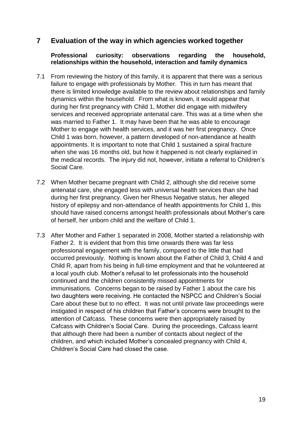## **7 Evaluation of the way in which agencies worked together**

#### **Professional curiosity: observations regarding the household, relationships within the household, interaction and family dynamics**

- 7.1 From reviewing the history of this family, it is apparent that there was a serious failure to engage with professionals by Mother. This in turn has meant that there is limited knowledge available to the review about relationships and family dynamics within the household. From what is known, it would appear that during her first pregnancy with Child 1, Mother did engage with midwifery services and received appropriate antenatal care. This was at a time when she was married to Father 1. It may have been that he was able to encourage Mother to engage with health services, and it was her first pregnancy. Once Child 1 was born, however, a pattern developed of non-attendance at health appointments. It is important to note that Child 1 sustained a spiral fracture when she was 16 months old, but how it happened is not clearly explained in the medical records. The injury did not, however, initiate a referral to Children's Social Care.
- should have raised concerns amongst health professionals about Mother's care 7.2 When Mother became pregnant with Child 2, although she did receive some antenatal care, she engaged less with universal health services than she had during her first pregnancy. Given her Rhesus Negative status, her alleged history of epilepsy and non-attendance of health appointments for Child 1, this of herself, her unborn child and the welfare of Child 1.
- 7.3 After Mother and Father 1 separated in 2008, Mother started a relationship with Father 2. It is evident that from this time onwards there was far less professional engagement with the family, compared to the little that had occurred previously. Nothing is known about the Father of Child 3, Child 4 and Child R, apart from his being in full-time employment and that he volunteered at a local youth club. Mother's refusal to let professionals into the household continued and the children consistently missed appointments for immunisations. Concerns began to be raised by Father 1 about the care his two daughters were receiving. He contacted the NSPCC and Children's Social Care about these but to no effect. It was not until private law proceedings were instigated in respect of his children that Father's concerns were brought to the attention of Cafcass. These concerns were then appropriately raised by Cafcass with Children's Social Care. During the proceedings, Cafcass learnt that although there had been a number of contacts about neglect of the children, and which included Mother's concealed pregnancy with Child 4, Children's Social Care had closed the case.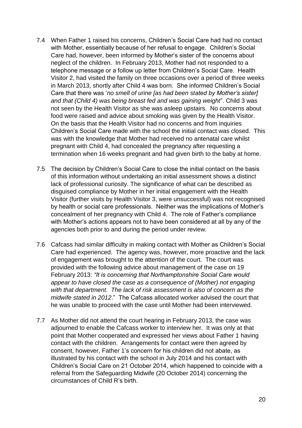- 7.4 When Father 1 raised his concerns, Children's Social Care had had no contact with Mother, essentially because of her refusal to engage. Children's Social Care had, however, been informed by Mother's sister of the concerns about neglect of the children. In February 2013, Mother had not responded to a telephone message or a follow up letter from Children's Social Care. Health Visitor 2, had visited the family on three occasions over a period of three weeks in March 2013, shortly after Child 4 was born. She informed Children's Social Care that there was '*no smell of urine [as had been stated by Mother's sister] and that (Child 4) was being breast fed and was gaining weight*". Child 3 was not seen by the Health Visitor as she was asleep upstairs. No concerns about food were raised and advice about smoking was given by the Health Visitor. On the basis that the Health Visitor had no concerns and from inquiries Children's Social Care made with the school the initial contact was closed. This was with the knowledge that Mother had received no antenatal care whilst pregnant with Child 4, had concealed the pregnancy after requesting a termination when 16 weeks pregnant and had given birth to the baby at home.
- concealment of her pregnancy with Child 4. The role of Father's compliance 7.5 The decision by Children's Social Care to close the initial contact on the basis of this information without undertaking an initial assessment shows a distinct lack of professional curiosity. The significance of what can be described as disguised compliance by Mother in her initial engagement with the Health Visitor (further visits by Health Visitor 3, were unsuccessful) was not recognised by health or social care professionals. Neither was the implications of Mother's with Mother's actions appears not to have been considered at all by any of the agencies both prior to and during the period under review.
- 7.6 Cafcass had similar difficulty in making contact with Mother as Children's Social Care had experienced. The agency was, however, more proactive and the lack of engagement was brought to the attention of the court. The court was provided with the following advice about management of the case on 19 February 2013: *"It is concerning that Northamptonshire Social Care would appear to have closed the case as a consequence of (Mother) not engaging with that department. The lack of risk assessment is also of concern as the midwife stated in 2012*." The Cafcass allocated worker advised the court that he was unable to proceed with the case until Mother had been interviewed.
- 7.7 As Mother did not attend the court hearing in February 2013, the case was adjourned to enable the Cafcass worker to interview her. It was only at that point that Mother cooperated and expressed her views about Father 1 having contact with the children. Arrangements for contact were then agreed by consent, however, Father 1's concern for his children did not abate, as illustrated by his contact with the school in July 2014 and his contact with Children's Social Care on 21 October 2014, which happened to coincide with a referral from the Safeguarding Midwife (20 October 2014) concerning the circumstances of Child R's birth.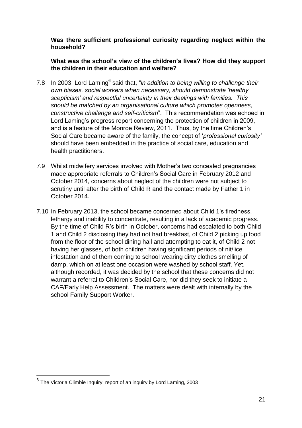**Was there sufficient professional curiosity regarding neglect within the household?**

**What was the school's view of the children's lives? How did they support the children in their education and welfare?**

- 7.8 In 2003, Lord Laming<sup>6</sup> said that, "*in addition to being willing to challenge their own biases, social workers when necessary, should demonstrate 'healthy scepticism' and respectful uncertainty in their dealings with families. This should be matched by an organisational culture which promotes openness, constructive challenge and self-criticism*". This recommendation was echoed in Lord Laming's progress report concerning the protection of children in 2009, and is a feature of the Monroe Review, 2011. Thus, by the time Children's Social Care became aware of the family, the concept of '*professional curiosity'* should have been embedded in the practice of social care, education and health practitioners.
- 7.9 Whilst midwifery services involved with Mother's two concealed pregnancies made appropriate referrals to Children's Social Care in February 2012 and October 2014, concerns about neglect of the children were not subject to scrutiny until after the birth of Child R and the contact made by Father 1 in October 2014.
- 7.10 In February 2013, the school became concerned about Child 1's tiredness, lethargy and inability to concentrate, resulting in a lack of academic progress. By the time of Child R's birth in October, concerns had escalated to both Child 1 and Child 2 disclosing they had not had breakfast, of Child 2 picking up food from the floor of the school dining hall and attempting to eat it, of Child 2 not having her glasses, of both children having significant periods of nit/lice infestation and of them coming to school wearing dirty clothes smelling of damp, which on at least one occasion were washed by school staff. Yet, although recorded, it was decided by the school that these concerns did not warrant a referral to Children's Social Care, nor did they seek to initiate a CAF/Early Help Assessment. The matters were dealt with internally by the school Family Support Worker.

<sup>&</sup>lt;sup>6</sup> The Victoria Climbie Inquiry: report of an inquiry by Lord Laming, 2003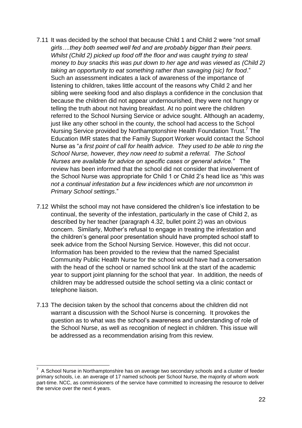- 7.11 It was decided by the school that because Child 1 and Child 2 were "*not small girls….they both seemed well fed and are probably bigger than their peers. Whilst (Child 2) picked up food off the floor and was caught trying to steal money to buy snacks this was put down to her age and was viewed as (Child 2) taking an opportunity to eat something rather than savaging (sic) for food*." Such an assessment indicates a lack of awareness of the importance of listening to children, takes little account of the reasons why Child 2 and her sibling were seeking food and also displays a confidence in the conclusion that because the children did not appear undernourished, they were not hungry or telling the truth about not having breakfast. At no point were the children referred to the School Nursing Service or advice sought. Although an academy, just like any other school in the county, the school had access to the School Nursing Service provided by Northamptonshire Health Foundation Trust.<sup>7</sup> The Education IMR states that the Family Support Worker would contact the School Nurse as "*a first point of call for health advice. They used to be able to ring the School Nurse, however, they now need to submit a referral. The School Nurses are available for advice on specific cases or general advice."* The review has been informed that the school did not consider that involvement of the School Nurse was appropriate for Child 1 or Child 2's head lice as "*this was not a continual infestation but a few incidences which are not uncommon in Primary School settings*."
- continual, the severity of the infestation, particularly in the case of Child 2, as 7.12 Whilst the school may not have considered the children's lice infestation to be described by her teacher (paragraph 4.32, bullet point 2) was an obvious concern. Similarly, Mother's refusal to engage in treating the infestation and the children's general poor presentation should have prompted school staff to seek advice from the School Nursing Service. However, this did not occur. Information has been provided to the review that the named Specialist Community Public Health Nurse for the school would have had a conversation with the head of the school or named school link at the start of the academic year to support joint planning for the school that year. In addition, the needs of children may be addressed outside the school setting via a clinic contact or telephone liaison.
- 7.13 The decision taken by the school that concerns about the children did not warrant a discussion with the School Nurse is concerning. It provokes the question as to what was the school's awareness and understanding of role of the School Nurse, as well as recognition of neglect in children. This issue will be addressed as a recommendation arising from this review.

<sup>1</sup> 7 A School Nurse in Northamptonshire has on average two secondary schools and a cluster of feeder primary schools, i.e. an average of 17 named schools per School Nurse, the majority of whom work part-time. NCC, as commissioners of the service have committed to increasing the resource to deliver the service over the next 4 years.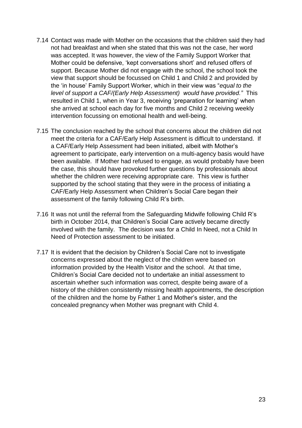- 7.14 Contact was made with Mother on the occasions that the children said they had not had breakfast and when she stated that this was not the case, her word was accepted. It was however, the view of the Family Support Worker that Mother could be defensive, 'kept conversations short' and refused offers of support. Because Mother did not engage with the school, the school took the view that support should be focussed on Child 1 and Child 2 and provided by the 'in house' Family Support Worker, which in their view was "*equal to the level of support a CAF/(Early Help Assessment) would have provided."* This resulted in Child 1, when in Year 3, receiving 'preparation for learning' when she arrived at school each day for five months and Child 2 receiving weekly intervention focussing on emotional health and well-being.
- 7.15 The conclusion reached by the school that concerns about the children did not meet the criteria for a CAF/Early Help Assessment is difficult to understand. If a CAF/Early Help Assessment had been initiated, albeit with Mother's agreement to participate, early intervention on a multi-agency basis would have been available. If Mother had refused to engage, as would probably have been the case, this should have provoked further questions by professionals about whether the children were receiving appropriate care. This view is further supported by the school stating that they were in the process of initiating a CAF/Early Help Assessment when Children's Social Care began their assessment of the family following Child R's birth.
- 7.16 It was not until the referral from the Safeguarding Midwife following Child R's birth in October 2014, that Children's Social Care actively became directly involved with the family. The decision was for a Child In Need, not a Child In Need of Protection assessment to be initiated.
- 7.17 It is evident that the decision by Children's Social Care not to investigate concerns expressed about the neglect of the children were based on information provided by the Health Visitor and the school. At that time, Children's Social Care decided not to undertake an initial assessment to ascertain whether such information was correct, despite being aware of a history of the children consistently missing health appointments, the description of the children and the home by Father 1 and Mother's sister, and the concealed pregnancy when Mother was pregnant with Child 4.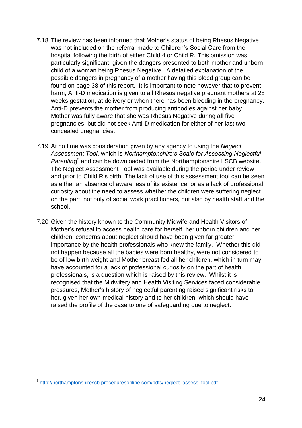- 7.18 The review has been informed that Mother's status of being Rhesus Negative was not included on the referral made to Children's Social Care from the hospital following the birth of either Child 4 or Child R. This omission was particularly significant, given the dangers presented to both mother and unborn child of a woman being Rhesus Negative. A detailed explanation of the possible dangers in pregnancy of a mother having this blood group can be found on page 38 of this report. It is important to note however that to prevent harm, Anti-D medication is given to all Rhesus negative pregnant mothers at 28 weeks gestation, at delivery or when there has been bleeding in the pregnancy. Anti-D prevents the mother from producing antibodies against her baby. Mother was fully aware that she was Rhesus Negative during all five pregnancies, but did not seek Anti-D medication for either of her last two concealed pregnancies.
- 7.19 At no time was consideration given by any agency to using the *Neglect Assessment Tool*, which is *Northamptonshire's Scale for Assessing Neglectful*  Parenting<sup>8</sup> and can be downloaded from the Northamptonshire LSCB website. The Neglect Assessment Tool was available during the period under review and prior to Child R's birth. The lack of use of this assessment tool can be seen as either an absence of awareness of its existence, or as a lack of professional curiosity about the need to assess whether the children were suffering neglect on the part, not only of social work practitioners, but also by health staff and the school.
- 7.20 Given the history known to the Community Midwife and Health Visitors of Mother's refusal to access health care for herself, her unborn children and her children, concerns about neglect should have been given far greater importance by the health professionals who knew the family. Whether this did not happen because all the babies were born healthy, were not considered to be of low birth weight and Mother breast fed all her children, which in turn may have accounted for a lack of professional curiosity on the part of health professionals, is a question which is raised by this review. Whilst it is recognised that the Midwifery and Health Visiting Services faced considerable pressures, Mother's history of neglectful parenting raised significant risks to her, given her own medical history and to her children, which should have raised the profile of the case to one of safeguarding due to neglect.

 8 [http://northamptonshirescb.proceduresonline.com/pdfs/neglect\\_assess\\_tool.pdf](http://northamptonshirescb.proceduresonline.com/pdfs/neglect_assess_tool.pdf)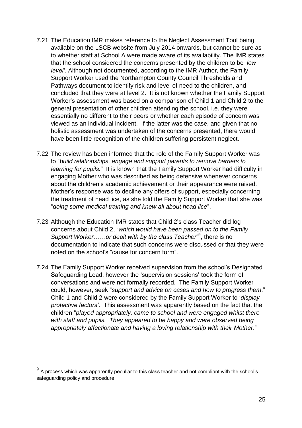- 7.21 The Education IMR makes reference to the Neglect Assessment Tool being available on the LSCB website from July 2014 onwards, but cannot be sure as to whether staff at School A were made aware of its availability. The IMR states that the school considered the concerns presented by the children to be '*low level'.* Although not documented, according to the IMR Author, the Family Support Worker used the Northampton County Council Thresholds and Pathways document to identify risk and level of need to the children, and concluded that they were at level 2. It is not known whether the Family Support Worker's assessment was based on a comparison of Child 1 and Child 2 to the general presentation of other children attending the school, i.e. they were essentially no different to their peers or whether each episode of concern was viewed as an individual incident. If the latter was the case, and given that no holistic assessment was undertaken of the concerns presented, there would have been little recognition of the children suffering persistent neglect.
- 7.22 The review has been informed that the role of the Family Support Worker was to "*build relationships, engage and support parents to remove barriers to learning for pupils."* It is known that the Family Support Worker had difficulty in engaging Mother who was described as being defensive whenever concerns about the children's academic achievement or their appearance were raised. Mother's response was to decline any offers of support, especially concerning the treatment of head lice, as she told the Family Support Worker that she was "*doing some medical training and knew all about head lice*".
- 7.23 Although the Education IMR states that Child 2's class Teacher did log concerns about Child 2, "*which would have been passed on to the Family*  Support Worker......or dealt with by the class Teacher<sup>"9</sup>, there is no documentation to indicate that such concerns were discussed or that they were noted on the school's "cause for concern form".
- 7.24 The Family Support Worker received supervision from the school's Designated Safeguarding Lead, however the 'supervision sessions' took the form of conversations and were not formally recorded. The Family Support Worker could, however, seek "*support and advice on cases and how to progress them*." Child 1 and Child 2 were considered by the Family Support Worker to '*display protective factors'*. This assessment was apparently based on the fact that the children "*played appropriately, came to school and were engaged whilst there*  with staff and pupils. They appeared to be happy and were observed being *appropriately affectionate and having a loving relationship with their Mother*."

 9 A process which was apparently peculiar to this class teacher and not compliant with the school's safeguarding policy and procedure.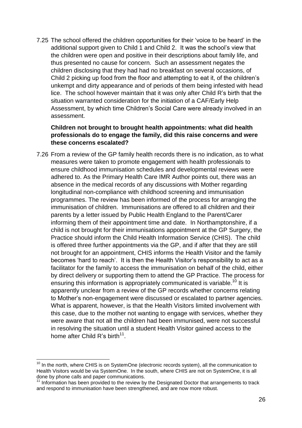7.25 The school offered the children opportunities for their 'voice to be heard' in the additional support given to Child 1 and Child 2. It was the school's view that the children were open and positive in their descriptions about family life, and thus presented no cause for concern. Such an assessment negates the children disclosing that they had had no breakfast on several occasions, of Child 2 picking up food from the floor and attempting to eat it, of the children's unkempt and dirty appearance and of periods of them being infested with head lice. The school however maintain that it was only after Child R's birth that the situation warranted consideration for the initiation of a CAF/Early Help Assessment, by which time Children's Social Care were already involved in an assessment.

## **Children not brought to brought health appointments: what did health professionals do to engage the family, did this raise concerns and were these concerns escalated?**

parents by a letter issued by Public Health England to the Parent/Carer 7.26 From a review of the GP family health records there is no indication, as to what measures were taken to promote engagement with health professionals to ensure childhood immunisation schedules and developmental reviews were adhered to. As the Primary Health Care IMR Author points out, there was an absence in the medical records of any discussions with Mother regarding longitudinal non-compliance with childhood screening and immunisation programmes. The review has been informed of the process for arranging the immunisation of children. Immunisations are offered to all children and their informing them of their appointment time and date. In Northamptonshire, if a child is not brought for their immunisations appointment at the GP Surgery, the Practice should inform the Child Health Information Service (CHIS). The child is offered three further appointments via the GP, and if after that they are still not brought for an appointment, CHIS informs the Health Visitor and the family becomes 'hard to reach'. It is then the Health Visitor's responsibility to act as a facilitator for the family to access the immunisation on behalf of the child, either by direct delivery or supporting them to attend the GP Practice. The process for ensuring this information is appropriately communicated is variable.<sup>10</sup> It is apparently unclear from a review of the GP records whether concerns relating to Mother's non-engagement were discussed or escalated to partner agencies. What is apparent, however, is that the Health Visitors limited involvement with this case, due to the mother not wanting to engage with services, whether they were aware that not all the children had been immunised, were not successful in resolving the situation until a student Health Visitor gained access to the home after Child R's birth<sup>11</sup>.

 $10$  In the north, where CHIS is on SystemOne (electronic records system), all the communication to Health Visitors would be via SystemOne. In the south, where CHIS are not on SystemOne, it is all done by phone calls and paper communications.

<sup>&</sup>lt;sup>11</sup> Information has been provided to the review by the Designated Doctor that arrangements to track and respond to immunisation have been strengthened, and are now more robust.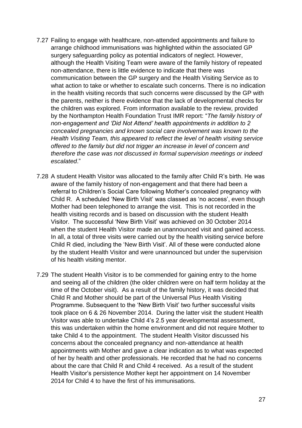- 7.27 Failing to engage with healthcare, non-attended appointments and failure to arrange childhood immunisations was highlighted within the associated GP surgery safeguarding policy as potential indicators of neglect. However, although the Health Visiting Team were aware of the family history of repeated non-attendance, there is little evidence to indicate that there was communication between the GP surgery and the Health Visiting Service as to what action to take or whether to escalate such concerns. There is no indication in the health visiting records that such concerns were discussed by the GP with the parents, neither is there evidence that the lack of developmental checks for the children was explored. From information available to the review, provided by the Northampton Health Foundation Trust IMR report: "*The family history of non-engagement and 'Did Not Attend' health appointments in addition to 2 concealed pregnancies and known social care involvement was known to the Health Visiting Team, this appeared to reflect the level of health visiting service offered to the family but did not trigger an increase in level of concern and therefore the case was not discussed in formal supervision meetings or indeed escalated*."
- health visiting records and is based on discussion with the student Health 7.28 A student Health Visitor was allocated to the family after Child R's birth. He was aware of the family history of non-engagement and that there had been a referral to Children's Social Care following Mother's concealed pregnancy with Child R. A scheduled 'New Birth Visit' was classed as 'no access', even though Mother had been telephoned to arrange the visit. This is not recorded in the Visitor. The successful 'New Birth Visit' was achieved on 30 October 2014 when the student Health Visitor made an unannounced visit and gained access. In all, a total of three visits were carried out by the health visiting service before Child R died, including the 'New Birth Visit'. All of these were conducted alone by the student Health Visitor and were unannounced but under the supervision of his health visiting mentor.
- 7.29 The student Health Visitor is to be commended for gaining entry to the home and seeing all of the children (the older children were on half term holiday at the time of the October visit). As a result of the family history, it was decided that Child R and Mother should be part of the Universal Plus Health Visiting Programme. Subsequent to the 'New Birth Visit' two further successful visits took place on 6 & 26 November 2014. During the latter visit the student Health Visitor was able to undertake Child 4's 2.5 year developmental assessment, this was undertaken within the home environment and did not require Mother to take Child 4 to the appointment. The student Health Visitor discussed his concerns about the concealed pregnancy and non-attendance at health appointments with Mother and gave a clear indication as to what was expected of her by health and other professionals. He recorded that he had no concerns about the care that Child R and Child 4 received. As a result of the student Health Visitor's persistence Mother kept her appointment on 14 November 2014 for Child 4 to have the first of his immunisations.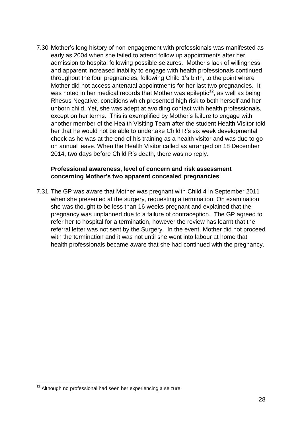7.30 Mother's long history of non-engagement with professionals was manifested as early as 2004 when she failed to attend follow up appointments after her admission to hospital following possible seizures. Mother's lack of willingness and apparent increased inability to engage with health professionals continued throughout the four pregnancies, following Child 1's birth, to the point where Mother did not access antenatal appointments for her last two pregnancies. It was noted in her medical records that Mother was epileptic<sup>12</sup>, as well as being Rhesus Negative, conditions which presented high risk to both herself and her unborn child. Yet, she was adept at avoiding contact with health professionals, except on her terms. This is exemplified by Mother's failure to engage with another member of the Health Visiting Team after the student Health Visitor told her that he would not be able to undertake Child R's six week developmental check as he was at the end of his training as a health visitor and was due to go on annual leave. When the Health Visitor called as arranged on 18 December 2014, two days before Child R's death, there was no reply.

### **Professional awareness, level of concern and risk assessment concerning Mother's two apparent concealed pregnancies**

pregnancy was unplanned due to a failure of contraception. The GP agreed to 7.31 The GP was aware that Mother was pregnant with Child 4 in September 2011 when she presented at the surgery, requesting a termination. On examination she was thought to be less than 16 weeks pregnant and explained that the refer her to hospital for a termination, however the review has learnt that the referral letter was not sent by the Surgery. In the event, Mother did not proceed with the termination and it was not until she went into labour at home that health professionals became aware that she had continued with the pregnancy.

 $12$  Although no professional had seen her experiencing a seizure.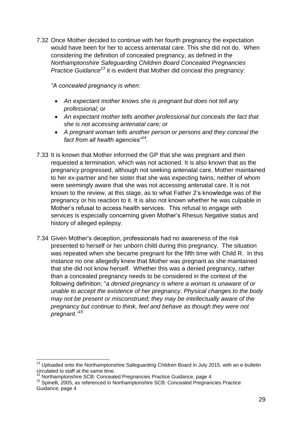7.32 Once Mother decided to continue with her fourth pregnancy the expectation would have been for her to access antenatal care. This she did not do. When considering the definition of concealed pregnancy, as defined in the *Northamptonshire Safeguarding Children Board Concealed Pregnancies Practice Guidance<sup>13</sup>* it is evident that Mother did conceal this pregnancy:

*"A concealed pregnancy is when:*

- *An expectant mother knows she is pregnant but does not tell any professional; or*
- *An expectant mother tells another professional but conceals the fact that she is not accessing antenatal care; or*
- *A pregnant woman tells another person or persons and they conceal the fact from all health agencies"<sup>14</sup> .*
- services is especially concerning given Mother's Rhesus Negative status and 7.33 It is known that Mother informed the GP that she was pregnant and then requested a termination, which was not actioned. It is also known that as the pregnancy progressed, although not seeking antenatal care, Mother maintained to her ex-partner and her sister that she was expecting twins; neither of whom were seemingly aware that she was not accessing antenatal care. It is not known to the review, at this stage, as to what Father 2's knowledge was of the pregnancy or his reaction to it. It is also not known whether he was culpable in Mother's refusal to access health services. This refusal to engage with history of alleged epilepsy.
- 7.34 Given Mother's deception, professionals had no awareness of the risk presented to herself or her unborn child during this pregnancy. The situation was repeated when she became pregnant for the fifth time with Child R. In this instance no one allegedly knew that Mother was pregnant as she maintained that she did not know herself. Whether this was a denied pregnancy, rather than a concealed pregnancy needs to be considered in the context of the following definition: "*a denied pregnancy is where a woman is unaware of or unable to accept the existence of her pregnancy. Physical changes to the body may not be present or misconstrued; they may be intellectually aware of the pregnancy but continue to think, feel and behave as though they were not pregnant."<sup>15</sup>*

<sup>1</sup>  $13$  Uploaded onto the Northamptonshire Safeguarding Children Board in July 2015, with an e-bulletin circulated to staff at the same time.

<sup>&</sup>lt;sup>14</sup> Northamptonshire SCB: Concealed Pregnancies Practice Guidance, page 4

<sup>15</sup> Spinelli, 2005, as referenced in Northamptonshire SCB: Concealed Pregnancies Practice Guidance, page 4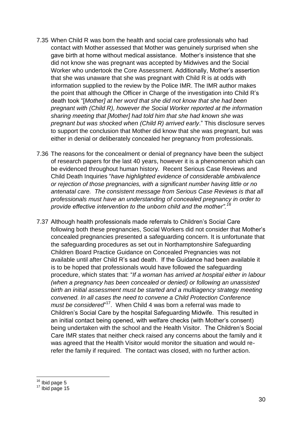- 7.35 When Child R was born the health and social care professionals who had contact with Mother assessed that Mother was genuinely surprised when she gave birth at home without medical assistance. Mother's insistence that she did not know she was pregnant was accepted by Midwives and the Social Worker who undertook the Core Assessment. Additionally, Mother's assertion that she was unaware that she was pregnant with Child R is at odds with information supplied to the review by the Police IMR. The IMR author makes the point that although the Officer in Charge of the investigation into Child R's death took "[*Mother] at her word that she did not know that she had been pregnant with (Child R), however the Social Worker reported at the information sharing meeting that [Mother] had told him that she had known she was pregnant but was shocked when (Child R) arrived early*." This disclosure serves to support the conclusion that Mother did know that she was pregnant, but was either in denial or deliberately concealed her pregnancy from professionals.
- 7.36 The reasons for the concealment or denial of pregnancy have been the subject of research papers for the last 40 years, however it is a phenomenon which can be evidenced throughout human history. Recent Serious Case Reviews and Child Death Inquiries "*have highlighted evidence of considerable ambivalence or rejection of those pregnancies, with a significant number having little or no antenatal care. The consistent message from Serious Case Reviews is that all professionals must have an understanding of concealed pregnancy in order to provide effective intervention to the unborn child and the mother".<sup>16</sup>*
- 7.37 Although health professionals made referrals to Children's Social Care following both these pregnancies, Social Workers did not consider that Mother's concealed pregnancies presented a safeguarding concern. It is unfortunate that the safeguarding procedures as set out in Northamptonshire Safeguarding Children Board Practice Guidance on Concealed Pregnancies was not available until after Child R's sad death. If the Guidance had been available it is to be hoped that professionals would have followed the safeguarding procedure, which states that: "*If a woman has arrived at hospital either in labour (when a pregnancy has been concealed or denied) or following an unassisted birth an initial assessment must be started and a multiagency strategy meeting convened. In all cases the need to convene a Child Protection Conference*  must be considered<sup>"17</sup>. When Child 4 was born a referral was made to Children's Social Care by the hospital Safeguarding Midwife. This resulted in an initial contact being opened, with welfare checks (with Mother's consent) being undertaken with the school and the Health Visitor. The Children's Social Care IMR states that neither check raised any concerns about the family and it was agreed that the Health Visitor would monitor the situation and would rerefer the family if required. The contact was closed, with no further action.

<sup>1</sup>  $16$  Ibid page 5

 $17$  Ibid page 15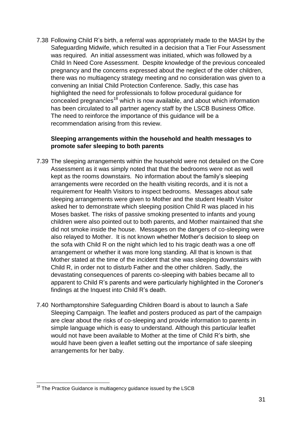7.38 Following Child R's birth, a referral was appropriately made to the MASH by the Safeguarding Midwife, which resulted in a decision that a Tier Four Assessment was required. An initial assessment was initiated, which was followed by a Child In Need Core Assessment. Despite knowledge of the previous concealed pregnancy and the concerns expressed about the neglect of the older children, there was no multiagency strategy meeting and no consideration was given to a convening an Initial Child Protection Conference. Sadly, this case has highlighted the need for professionals to follow procedural guidance for concealed pregnancies<sup>18</sup> which is now available, and about which information has been circulated to all partner agency staff by the LSCB Business Office. The need to reinforce the importance of this guidance will be a recommendation arising from this review.

## **Sleeping arrangements within the household and health messages to promote safer sleeping to both parents**

- Moses basket. The risks of passive smoking presented to infants and young 7.39 The sleeping arrangements within the household were not detailed on the Core Assessment as it was simply noted that that the bedrooms were not as well kept as the rooms downstairs. No information about the family's sleeping arrangements were recorded on the health visiting records, and it is not a requirement for Health Visitors to inspect bedrooms. Messages about safe sleeping arrangements were given to Mother and the student Health Visitor asked her to demonstrate which sleeping position Child R was placed in his children were also pointed out to both parents, and Mother maintained that she did not smoke inside the house. Messages on the dangers of co-sleeping were also relayed to Mother. It is not known whether Mother's decision to sleep on the sofa with Child R on the night which led to his tragic death was a one off arrangement or whether it was more long standing. All that is known is that Mother stated at the time of the incident that she was sleeping downstairs with Child R, in order not to disturb Father and the other children. Sadly, the devastating consequences of parents co-sleeping with babies became all to apparent to Child R's parents and were particularly highlighted in the Coroner's findings at the Inquest into Child R's death.
- 7.40 Northamptonshire Safeguarding Children Board is about to launch a Safe Sleeping Campaign. The leaflet and posters produced as part of the campaign are clear about the risks of co-sleeping and provide information to parents in simple language which is easy to understand. Although this particular leaflet would not have been available to Mother at the time of Child R's birth, she would have been given a leaflet setting out the importance of safe sleeping arrangements for her baby.

<sup>1</sup>  $18$  The Practice Guidance is multiagency guidance issued by the LSCB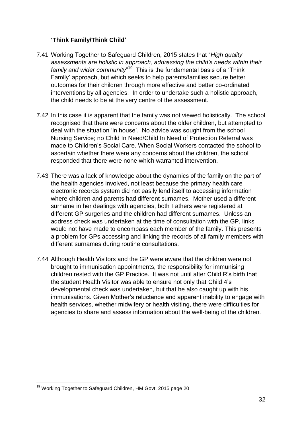## **'Think Family/Think Child'**

- 7.41 Working Together to Safeguard Children, 2015 states that "*High quality assessments are holistic in approach, addressing the child's needs within their*  family and wider community<sup>"19</sup> This is the fundamental basis of a 'Think Family' approach, but which seeks to help parents/families secure better outcomes for their children through more effective and better co-ordinated interventions by all agencies. In order to undertake such a holistic approach, the child needs to be at the very centre of the assessment.
- 7.42 In this case it is apparent that the family was not viewed holistically. The school recognised that there were concerns about the older children, but attempted to deal with the situation 'in house'. No advice was sought from the school Nursing Service; no Child In Need/Child In Need of Protection Referral was made to Children's Social Care. When Social Workers contacted the school to ascertain whether there were any concerns about the children, the school responded that there were none which warranted intervention.
- different GP surgeries and the children had different surnames. Unless an 7.43 There was a lack of knowledge about the dynamics of the family on the part of the health agencies involved, not least because the primary health care electronic records system did not easily lend itself to accessing information where children and parents had different surnames. Mother used a different surname in her dealings with agencies, both Fathers were registered at address check was undertaken at the time of consultation with the GP, links would not have made to encompass each member of the family. This presents a problem for GPs accessing and linking the records of all family members with different surnames during routine consultations.
- 7.44 Although Health Visitors and the GP were aware that the children were not brought to immunisation appointments, the responsibility for immunising children rested with the GP Practice. It was not until after Child R's birth that the student Health Visitor was able to ensure not only that Child 4's developmental check was undertaken, but that he also caught up with his immunisations. Given Mother's reluctance and apparent inability to engage with health services, whether midwifery or health visiting, there were difficulties for agencies to share and assess information about the well-being of the children.

<sup>1</sup> <sup>19</sup> Working Together to Safeguard Children, HM Govt, 2015 page 20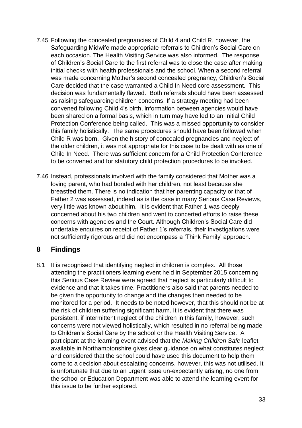- 7.45 Following the concealed pregnancies of Child 4 and Child R, however, the Safeguarding Midwife made appropriate referrals to Children's Social Care on each occasion. The Health Visiting Service was also informed. The response of Children's Social Care to the first referral was to close the case after making initial checks with health professionals and the school. When a second referral was made concerning Mother's second concealed pregnancy, Children's Social Care decided that the case warranted a Child In Need core assessment. This decision was fundamentally flawed. Both referrals should have been assessed as raising safeguarding children concerns. If a strategy meeting had been convened following Child 4's birth, information between agencies would have been shared on a formal basis, which in turn may have led to an Initial Child Protection Conference being called. This was a missed opportunity to consider this family holistically. The same procedures should have been followed when Child R was born. Given the history of concealed pregnancies and neglect of the older children, it was not appropriate for this case to be dealt with as one of Child In Need. There was sufficient concern for a Child Protection Conference to be convened and for statutory child protection procedures to be invoked.
- concerned about his two children and went to concerted efforts to raise these 7.46 Instead, professionals involved with the family considered that Mother was a loving parent, who had bonded with her children, not least because she breastfed them. There is no indication that her parenting capacity or that of Father 2 was assessed, indeed as is the case in many Serious Case Reviews, very little was known about him. It is evident that Father 1 was deeply concerns with agencies and the Court. Although Children's Social Care did undertake enquires on receipt of Father 1's referrals, their investigations were not sufficiently rigorous and did not encompass a 'Think Family' approach.

## **8 Findings**

8.1 It is recognised that identifying neglect in children is complex. All those attending the practitioners learning event held in September 2015 concerning this Serious Case Review were agreed that neglect is particularly difficult to evidence and that it takes time. Practitioners also said that parents needed to be given the opportunity to change and the changes then needed to be monitored for a period. It needs to be noted however, that this should not be at the risk of children suffering significant harm. It is evident that there was persistent, if intermittent neglect of the children in this family, however, such concerns were not viewed holistically, which resulted in no referral being made to Children's Social Care by the school or the Health Visiting Service. A participant at the learning event advised that the *Making Children Safe* leaflet available in Northamptonshire gives clear guidance on what constitutes neglect and considered that the school could have used this document to help them come to a decision about escalating concerns, however, this was not utilised. It is unfortunate that due to an urgent issue un-expectantly arising, no one from the school or Education Department was able to attend the learning event for this issue to be further explored.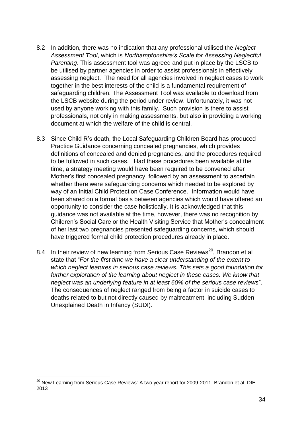- 8.2 In addition, there was no indication that any professional utilised the *Neglect Assessment Tool*, which is *Northamptonshire's Scale for Assessing Neglectful Parenting*. This assessment tool was agreed and put in place by the LSCB to be utilised by partner agencies in order to assist professionals in effectively assessing neglect. The need for all agencies involved in neglect cases to work together in the best interests of the child is a fundamental requirement of safeguarding children. The Assessment Tool was available to download from the LSCB website during the period under review. Unfortunately, it was not used by anyone working with this family. Such provision is there to assist professionals, not only in making assessments, but also in providing a working document at which the welfare of the child is central.
- guidance was not available at the time, however, there was no recognition by 8.3 Since Child R's death, the Local Safeguarding Children Board has produced Practice Guidance concerning concealed pregnancies, which provides definitions of concealed and denied pregnancies, and the procedures required to be followed in such cases. Had these procedures been available at the time, a strategy meeting would have been required to be convened after Mother's first concealed pregnancy, followed by an assessment to ascertain whether there were safeguarding concerns which needed to be explored by way of an Initial Child Protection Case Conference. Information would have been shared on a formal basis between agencies which would have offered an opportunity to consider the case holistically. It is acknowledged that this Children's Social Care or the Health Visiting Service that Mother's concealment of her last two pregnancies presented safeguarding concerns, which should have triggered formal child protection procedures already in place.
- 8.4 In their review of new learning from Serious Case Reviews<sup>20</sup>, Brandon et al state that "*For the first time we have a clear understanding of the extent to which neglect features in serious case reviews. This sets a good foundation for*  further exploration of the learning about neglect in these cases. We know that *neglect was an underlying feature in at least 60% of the serious case reviews*". The consequences of neglect ranged from being a factor in suicide cases to deaths related to but not directly caused by maltreatment, including Sudden Unexplained Death in Infancy (SUDI).

 $^{20}$  New Learning from Serious Case Reviews: A two year report for 2009-2011, Brandon et al, DfE 2013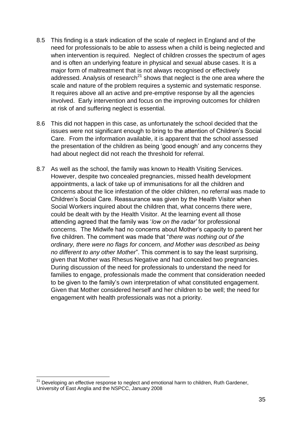- 8.5 This finding is a stark indication of the scale of neglect in England and of the need for professionals to be able to assess when a child is being neglected and when intervention is required. Neglect of children crosses the spectrum of ages and is often an underlying feature in physical and sexual abuse cases. It is a major form of maltreatment that is not always recognised or effectively addressed. Analysis of research<sup>21</sup> shows that neglect is the one area where the scale and nature of the problem requires a systemic and systematic response. It requires above all an active and pre-emptive response by all the agencies involved. Early intervention and focus on the improving outcomes for children at risk of and suffering neglect is essential.
- 8.6 This did not happen in this case, as unfortunately the school decided that the issues were not significant enough to bring to the attention of Children's Social Care. From the information available, it is apparent that the school assessed the presentation of the children as being 'good enough' and any concerns they had about neglect did not reach the threshold for referral.
- could be dealt with by the Health Visitor. At the learning event all those 8.7 As well as the school, the family was known to Health Visiting Services. However, despite two concealed pregnancies, missed health development appointments, a lack of take up of immunisations for all the children and concerns about the lice infestation of the older children, no referral was made to Children's Social Care. Reassurance was given by the Health Visitor when Social Workers inquired about the children that, what concerns there were, attending agreed that the family was '*low on the radar'* for professional concerns. The Midwife had no concerns about Mother's capacity to parent her five children. The comment was made that "*there was nothing out of the ordinary, there were no flags for concern, and Mother was described as being no different to any other Mother*". This comment is to say the least surprising, given that Mother was Rhesus Negative and had concealed two pregnancies. During discussion of the need for professionals to understand the need for families to engage, professionals made the comment that consideration needed to be given to the family's own interpretation of what constituted engagement. Given that Mother considered herself and her children to be well; the need for engagement with health professionals was not a priority.

 $21$  Developing an effective response to neglect and emotional harm to children, Ruth Gardener, University of East Anglia and the NSPCC, January 2008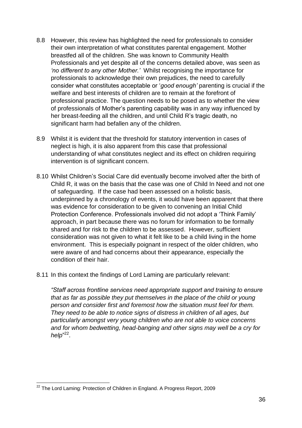- 8.8 However, this review has highlighted the need for professionals to consider their own interpretation of what constitutes parental engagement. Mother breastfed all of the children. She was known to Community Health Professionals and yet despite all of the concerns detailed above, was seen as *'no different to any other Mother.'* Whilst recognising the importance for professionals to acknowledge their own prejudices, the need to carefully consider what constitutes acceptable or '*good enough'* parenting is crucial if the welfare and best interests of children are to remain at the forefront of professional practice. The question needs to be posed as to whether the view of professionals of Mother's parenting capability was in any way influenced by her breast-feeding all the children, and until Child R's tragic death, no significant harm had befallen any of the children.
- 8.9 Whilst it is evident that the threshold for statutory intervention in cases of neglect is high, it is also apparent from this case that professional understanding of what constitutes neglect and its effect on children requiring intervention is of significant concern.
- Protection Conference. Professionals involved did not adopt a 'Think Family' 8.10 Whilst Children's Social Care did eventually become involved after the birth of Child R, it was on the basis that the case was one of Child In Need and not one of safeguarding. If the case had been assessed on a holistic basis, underpinned by a chronology of events, it would have been apparent that there was evidence for consideration to be given to convening an Initial Child approach, in part because there was no forum for information to be formally shared and for risk to the children to be assessed. However, sufficient consideration was not given to what it felt like to be a child living in the home environment. This is especially poignant in respect of the older children, who were aware of and had concerns about their appearance, especially the condition of their hair.
- 8.11 In this context the findings of Lord Laming are particularly relevant:

*"Staff across frontline services need appropriate support and training to ensure that as far as possible they put themselves in the place of the child or young person and consider first and foremost how the situation must feel for them. They need to be able to notice signs of distress in children of all ages, but particularly amongst very young children who are not able to voice concerns and for whom bedwetting, head-banging and other signs may well be a cry for help*" 22 .

<sup>1</sup>  $^{22}$  The Lord Laming: Protection of Children in England. A Progress Report, 2009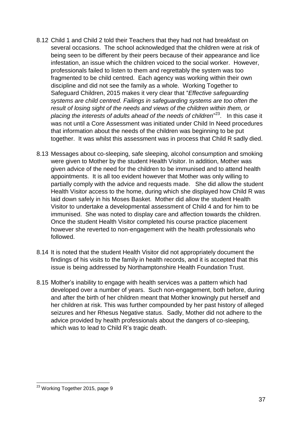- 8.12 Child 1 and Child 2 told their Teachers that they had not had breakfast on several occasions. The school acknowledged that the children were at risk of being seen to be different by their peers because of their appearance and lice infestation, an issue which the children voiced to the social worker. However, professionals failed to listen to them and regrettably the system was too fragmented to be child centred. Each agency was working within their own discipline and did not see the family as a whole. Working Together to Safeguard Children, 2015 makes it very clear that "*Effective safeguarding systems are child centred. Failings in safeguarding systems are too often the result of losing sight of the needs and views of the children within them, or placing the interests of adults ahead of the needs of children*" 23 . In this case it was not until a Core Assessment was initiated under Child In Need procedures that information about the needs of the children was beginning to be put together. It was whilst this assessment was in process that Child R sadly died.
- immunised. She was noted to display care and affection towards the children. 8.13 Messages about co-sleeping, safe sleeping, alcohol consumption and smoking were given to Mother by the student Health Visitor. In addition, Mother was given advice of the need for the children to be immunised and to attend health appointments. It is all too evident however that Mother was only willing to partially comply with the advice and requests made. She did allow the student Health Visitor access to the home, during which she displayed how Child R was laid down safely in his Moses Basket. Mother did allow the student Health Visitor to undertake a developmental assessment of Child 4 and for him to be Once the student Health Visitor completed his course practice placement however she reverted to non-engagement with the health professionals who followed.
- 8.14 It is noted that the student Health Visitor did not appropriately document the findings of his visits to the family in health records, and it is accepted that this issue is being addressed by Northamptonshire Health Foundation Trust.
- 8.15 Mother's inability to engage with health services was a pattern which had developed over a number of years. Such non-engagement, both before, during and after the birth of her children meant that Mother knowingly put herself and her children at risk. This was further compounded by her past history of alleged seizures and her Rhesus Negative status. Sadly, Mother did not adhere to the advice provided by health professionals about the dangers of co-sleeping, which was to lead to Child R's tragic death.

<sup>1</sup> <sup>23</sup> Working Together 2015, page 9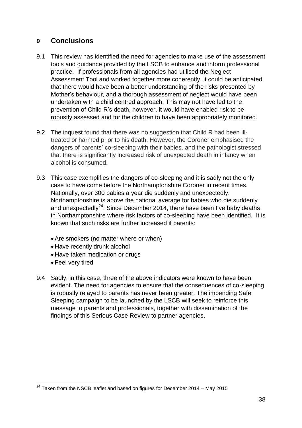# **9 Conclusions**

- 9.1 This review has identified the need for agencies to make use of the assessment tools and guidance provided by the LSCB to enhance and inform professional practice. If professionals from all agencies had utilised the Neglect Assessment Tool and worked together more coherently, it could be anticipated that there would have been a better understanding of the risks presented by Mother's behaviour, and a thorough assessment of neglect would have been undertaken with a child centred approach. This may not have led to the prevention of Child R's death, however, it would have enabled risk to be robustly assessed and for the children to have been appropriately monitored.
- 9.2 The inquest found that there was no suggestion that Child R had been illtreated or harmed prior to his death. However, the Coroner emphasised the dangers of parents' co-sleeping with their babies, and the pathologist stressed that there is significantly increased risk of unexpected death in infancy when alcohol is consumed.
- in Northamptonshire where risk factors of co-sleeping have been identified. It is 9.3 This case exemplifies the dangers of co-sleeping and it is sadly not the only case to have come before the Northamptonshire Coroner in recent times. Nationally, over 300 babies a year die suddenly and unexpectedly. Northamptonshire is above the national average for babies who die suddenly and unexpectedly<sup>24</sup>. Since December 2014, there have been five baby deaths known that such risks are further increased if parents:
	- Are smokers (no matter where or when)
	- Have recently drunk alcohol
	- Have taken medication or drugs
	- Feel very tired
- 9.4 Sadly, in this case, three of the above indicators were known to have been evident. The need for agencies to ensure that the consequences of co-sleeping is robustly relayed to parents has never been greater. The impending Safe Sleeping campaign to be launched by the LSCB will seek to reinforce this message to parents and professionals, together with dissemination of the findings of this Serious Case Review to partner agencies.

<sup>1</sup>  $^{24}$  Taken from the NSCB leaflet and based on figures for December 2014 – May 2015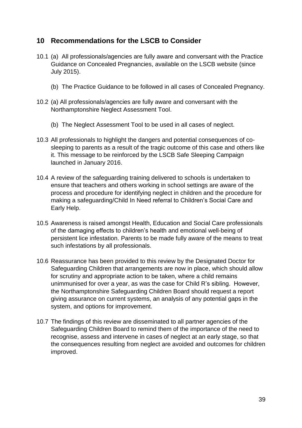## **10 Recommendations for the LSCB to Consider**

- 10.1 (a) All professionals/agencies are fully aware and conversant with the Practice Guidance on Concealed Pregnancies, available on the LSCB website (since July 2015).
	- (b) The Practice Guidance to be followed in all cases of Concealed Pregnancy.
- 10.2 (a) All professionals/agencies are fully aware and conversant with the Northamptonshire Neglect Assessment Tool.
	- (b) The Neglect Assessment Tool to be used in all cases of neglect.
- 10.3 All professionals to highlight the dangers and potential consequences of cosleeping to parents as a result of the tragic outcome of this case and others like it. This message to be reinforced by the LSCB Safe Sleeping Campaign launched in January 2016.
- 10.4 A review of the safeguarding training delivered to schools is undertaken to ensure that teachers and others working in school settings are aware of the process and procedure for identifying neglect in children and the procedure for making a safeguarding/Child In Need referral to Children's Social Care and Early Help.
- 10.5 Awareness is raised amongst Health, Education and Social Care professionals of the damaging effects to children's health and emotional well-being of persistent lice infestation. Parents to be made fully aware of the means to treat such infestations by all professionals.
- 10.6 Reassurance has been provided to this review by the Designated Doctor for Safeguarding Children that arrangements are now in place, which should allow for scrutiny and appropriate action to be taken, where a child remains unimmunised for over a year, as was the case for Child R's sibling. However, the Northamptonshire Safeguarding Children Board should request a report giving assurance on current systems, an analysis of any potential gaps in the system, and options for improvement.
- 10.7 The findings of this review are disseminated to all partner agencies of the Safeguarding Children Board to remind them of the importance of the need to recognise, assess and intervene in cases of neglect at an early stage, so that the consequences resulting from neglect are avoided and outcomes for children improved.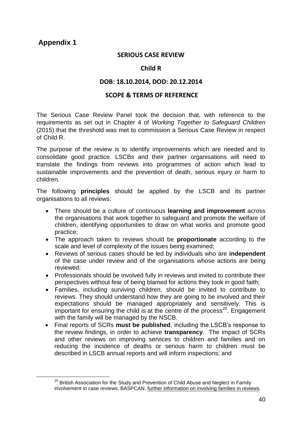## **Appendix 1**

1

### **SERIOUS CASE REVIEW**

## **Child R**

## **DOB: 18.10.2014, DOD: 20.12.2014**

#### **SCOPE & TERMS OF REFERENCE**

The Serious Case Review Panel took the decision that, with reference to the requirements as set out in Chapter 4 of *Working Together to Safeguard Children* (2015) that the threshold was met to commission a Serious Case Review in respect of Child R.

The purpose of the review is to identify improvements which are needed and to consolidate good practice. LSCBs and their partner organisations will need to translate the findings from reviews into programmes of action which lead to sustainable improvements and the prevention of death, serious injury or harm to children.

The following **principles** should be applied by the LSCB and its partner organisations to all reviews:

- There should be a culture of continuous **learning and improvement** across the organisations that work together to safeguard and promote the welfare of children, identifying opportunities to draw on what works and promote good practice;
- The approach taken to reviews should be **proportionate** according to the scale and level of complexity of the issues being examined;
- Reviews of serious cases should be led by individuals who are **independent** of the case under review and of the organisations whose actions are being reviewed;
- Professionals should be involved fully in reviews and invited to contribute their perspectives without fear of being blamed for actions they took in good faith;
- Families, including surviving children, should be invited to contribute to reviews. They should understand how they are going to be involved and their expectations should be managed appropriately and sensitively. This is important for ensuring the child is at the centre of the process<sup>25</sup>. Engagement with the family will be managed by the NSCB.
- Final reports of SCRs **must be published**, including the LSCB's response to the review findings, in order to achieve **transparency**. The impact of SCRs and other reviews on improving services to children and families and on reducing the incidence of deaths or serious harm to children must be described in LSCB annual reports and will inform inspections; and

 $25$  British Association for the Study and Prevention of Child Abuse and Neglect in Family involvement in case reviews, BASPCAN, further information on involving families in reviews.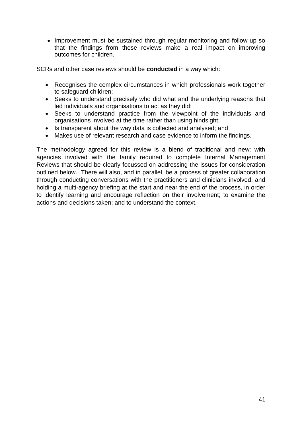• Improvement must be sustained through regular monitoring and follow up so that the findings from these reviews make a real impact on improving outcomes for children.

SCRs and other case reviews should be **conducted** in a way which:

- Recognises the complex circumstances in which professionals work together to safeguard children;
- Seeks to understand precisely who did what and the underlying reasons that led individuals and organisations to act as they did;
- Seeks to understand practice from the viewpoint of the individuals and organisations involved at the time rather than using hindsight;
- Is transparent about the way data is collected and analysed; and
- Makes use of relevant research and case evidence to inform the findings.

The methodology agreed for this review is a blend of traditional and new: with agencies involved with the family required to complete Internal Management Reviews that should be clearly focussed on addressing the issues for consideration outlined below. There will also, and in parallel, be a process of greater collaboration through conducting conversations with the practitioners and clinicians involved, and holding a multi-agency briefing at the start and near the end of the process, in order to identify learning and encourage reflection on their involvement; to examine the actions and decisions taken; and to understand the context.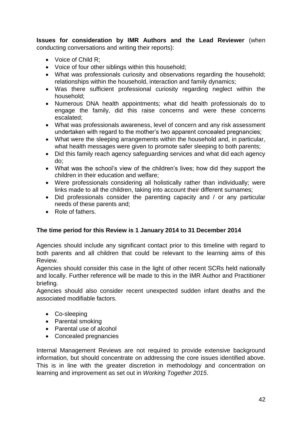**Issues for consideration by IMR Authors and the Lead Reviewer** (when conducting conversations and writing their reports):

- Voice of Child R:
- Voice of four other siblings within this household;
- What was professionals curiosity and observations regarding the household; relationships within the household, interaction and family dynamics;
- Was there sufficient professional curiosity regarding neglect within the household;
- Numerous DNA health appointments; what did health professionals do to engage the family, did this raise concerns and were these concerns escalated;
- What was professionals awareness, level of concern and any risk assessment undertaken with regard to the mother's two apparent concealed pregnancies;
- What were the sleeping arrangements within the household and, in particular, what health messages were given to promote safer sleeping to both parents;
- Did this family reach agency safeguarding services and what did each agency do;
- What was the school's view of the children's lives; how did they support the children in their education and welfare;
- Were professionals considering all holistically rather than individually; were links made to all the children, taking into account their different surnames;
- Did professionals consider the parenting capacity and / or any particular needs of these parents and;
- Role of fathers.

## **The time period for this Review is 1 January 2014 to 31 December 2014**

Agencies should include any significant contact prior to this timeline with regard to both parents and all children that could be relevant to the learning aims of this Review.

Agencies should consider this case in the light of other recent SCRs held nationally and locally. Further reference will be made to this in the IMR Author and Practitioner briefing.

Agencies should also consider recent unexpected sudden infant deaths and the associated modifiable factors.

- Co-sleeping
- Parental smoking
- Parental use of alcohol
- Concealed pregnancies

Internal Management Reviews are not required to provide extensive background information, but should concentrate on addressing the core issues identified above. This is in line with the greater discretion in methodology and concentration on learning and improvement as set out in *Working Together 2015*.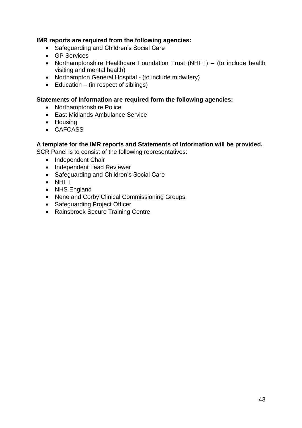### **IMR reports are required from the following agencies:**

- Safeguarding and Children's Social Care
- **•** GP Services
- Northamptonshire Healthcare Foundation Trust (NHFT) (to include health visiting and mental health)
- Northampton General Hospital (to include midwifery)
- $\bullet$  Education (in respect of siblings)

#### **Statements of Information are required form the following agencies:**

- Northamptonshire Police
- East Midlands Ambulance Service
- Housing
- CAFCASS

#### **A template for the IMR reports and Statements of Information will be provided.**

SCR Panel is to consist of the following representatives:

- Independent Chair
- Independent Lead Reviewer
- Safeguarding and Children's Social Care
- NHFT
- NHS England
- Nene and Corby Clinical Commissioning Groups
- Safeguarding Project Officer
- Rainsbrook Secure Training Centre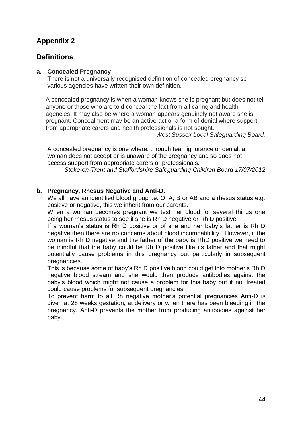# **Appendix 2**

## **Definitions**

#### **a. Concealed Pregnancy**

There is not a universally recognised definition of concealed pregnancy so various agencies have written their own definition.

A concealed pregnancy is when a woman knows she is pregnant but does not tell anyone or those who are told conceal the fact from all caring and health agencies. It may also be where a woman appears genuinely not aware she is pregnant. Concealment may be an active act or a form of denial where support from appropriate carers and health professionals is not sought.

*West Sussex Local Safeguarding Board.*

A concealed pregnancy is one where, through fear, ignorance or denial, a woman does not accept or is unaware of the pregnancy and so does not access support from appropriate carers or professionals.

*Stoke-on-Trent and Staffordshire Safeguarding Children Board 17/07/2012*

## **b. Pregnancy, Rhesus Negative and Anti-D.**

We all have an identified blood group i.e. O, A, B or AB and a rhesus status e.g. positive or negative, this we inherit from our parents.

When a woman becomes pregnant we test her blood for several things one being her rhesus status to see if she is Rh D negative or Rh D positive.

If a woman's status is Rh D positive or of she and her baby's father is Rh D negative then there are no concerns about blood incompatibility. However, if the woman is Rh D negative and the father of the baby is RhD positive we need to be mindful that the baby could be Rh D positive like its father and that might potentially cause problems in this pregnancy but particularly in subsequent pregnancies.

This is because some of baby's Rh D positive blood could get into mother's Rh D negative blood stream and she would then produce antibodies against the baby's blood which might not cause a problem for this baby but if not treated could cause problems for subsequent pregnancies.

To prevent harm to all Rh negative mother's potential pregnancies Anti-D is given at 28 weeks gestation, at delivery or when there has been bleeding in the pregnancy. Anti-D prevents the mother from producing antibodies against her baby.